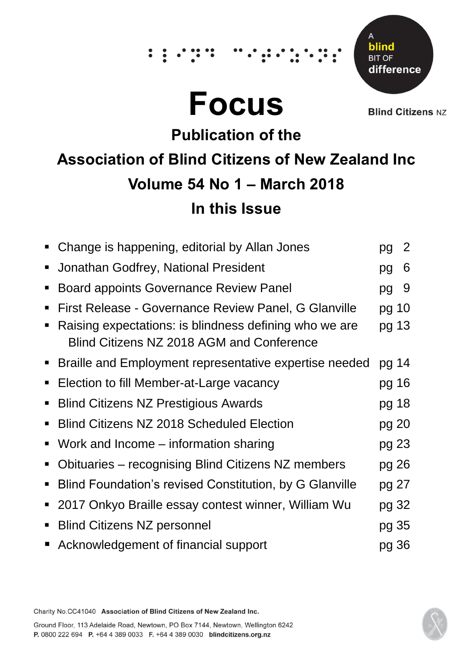# **Focus**

Δ blind **BIT OF** difference

**Blind Citizens NZ** 

## **Publication of the Association of Blind Citizens of New Zealand Inc Volume 54 No 1 – March 2018 In this Issue**

|                                  | Change is happening, editorial by Allan Jones                                                                                                               | pg             | $\overline{2}$ |
|----------------------------------|-------------------------------------------------------------------------------------------------------------------------------------------------------------|----------------|----------------|
| п                                | Jonathan Godfrey, National President                                                                                                                        | pg             | 6              |
| $\blacksquare$                   | <b>Board appoints Governance Review Panel</b>                                                                                                               | pg             | -9             |
| $\blacksquare$<br>$\blacksquare$ | First Release - Governance Review Panel, G Glanville<br>Raising expectations: is blindness defining who we are<br>Blind Citizens NZ 2018 AGM and Conference | pg 10<br>pg 13 |                |
|                                  | ■ Braille and Employment representative expertise needed                                                                                                    | pg 14          |                |
| $\blacksquare$                   | Election to fill Member-at-Large vacancy                                                                                                                    | pg 16          |                |
| $\blacksquare$                   | <b>Blind Citizens NZ Prestigious Awards</b>                                                                                                                 | pg 18          |                |
| п                                | <b>Blind Citizens NZ 2018 Scheduled Election</b>                                                                                                            | pg 20          |                |
| п                                | Work and Income – information sharing                                                                                                                       | pg 23          |                |
| $\blacksquare$                   | Obituaries - recognising Blind Citizens NZ members                                                                                                          | pg 26          |                |
| п                                | Blind Foundation's revised Constitution, by G Glanville                                                                                                     | pg 27          |                |
| $\blacksquare$                   | 2017 Onkyo Braille essay contest winner, William Wu                                                                                                         | pg 32          |                |
| $\blacksquare$                   | <b>Blind Citizens NZ personnel</b>                                                                                                                          | pg 35          |                |
|                                  | Acknowledgement of financial support                                                                                                                        | pg 36          |                |

Charity No.CC41040 Association of Blind Citizens of New Zealand Inc.

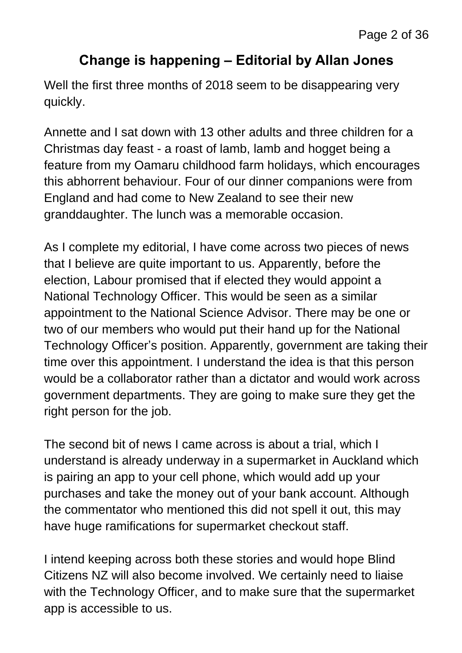#### **Change is happening – Editorial by Allan Jones**

Well the first three months of 2018 seem to be disappearing very quickly.

Annette and I sat down with 13 other adults and three children for a Christmas day feast - a roast of lamb, lamb and hogget being a feature from my Oamaru childhood farm holidays, which encourages this abhorrent behaviour. Four of our dinner companions were from England and had come to New Zealand to see their new granddaughter. The lunch was a memorable occasion.

As I complete my editorial, I have come across two pieces of news that I believe are quite important to us. Apparently, before the election, Labour promised that if elected they would appoint a National Technology Officer. This would be seen as a similar appointment to the National Science Advisor. There may be one or two of our members who would put their hand up for the National Technology Officer's position. Apparently, government are taking their time over this appointment. I understand the idea is that this person would be a collaborator rather than a dictator and would work across government departments. They are going to make sure they get the right person for the job.

The second bit of news I came across is about a trial, which I understand is already underway in a supermarket in Auckland which is pairing an app to your cell phone, which would add up your purchases and take the money out of your bank account. Although the commentator who mentioned this did not spell it out, this may have huge ramifications for supermarket checkout staff.

I intend keeping across both these stories and would hope Blind Citizens NZ will also become involved. We certainly need to liaise with the Technology Officer, and to make sure that the supermarket app is accessible to us.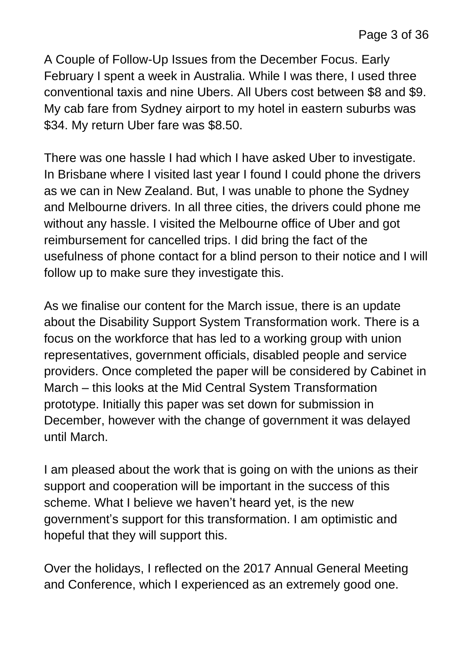A Couple of Follow-Up Issues from the December Focus. Early February I spent a week in Australia. While I was there, I used three conventional taxis and nine Ubers. All Ubers cost between \$8 and \$9. My cab fare from Sydney airport to my hotel in eastern suburbs was \$34. My return Uber fare was \$8.50.

There was one hassle I had which I have asked Uber to investigate. In Brisbane where I visited last year I found I could phone the drivers as we can in New Zealand. But, I was unable to phone the Sydney and Melbourne drivers. In all three cities, the drivers could phone me without any hassle. I visited the Melbourne office of Uber and got reimbursement for cancelled trips. I did bring the fact of the usefulness of phone contact for a blind person to their notice and I will follow up to make sure they investigate this.

As we finalise our content for the March issue, there is an update about the Disability Support System Transformation work. There is a focus on the workforce that has led to a working group with union representatives, government officials, disabled people and service providers. Once completed the paper will be considered by Cabinet in March – this looks at the Mid Central System Transformation prototype. Initially this paper was set down for submission in December, however with the change of government it was delayed until March.

I am pleased about the work that is going on with the unions as their support and cooperation will be important in the success of this scheme. What I believe we haven't heard yet, is the new government's support for this transformation. I am optimistic and hopeful that they will support this.

Over the holidays, I reflected on the 2017 Annual General Meeting and Conference, which I experienced as an extremely good one.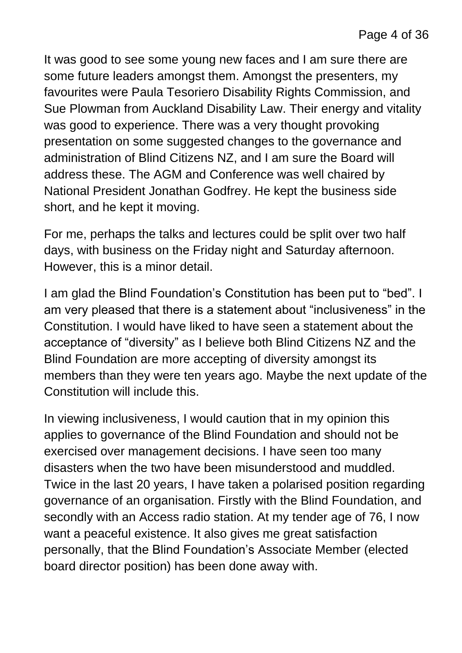It was good to see some young new faces and I am sure there are some future leaders amongst them. Amongst the presenters, my favourites were Paula Tesoriero Disability Rights Commission, and Sue Plowman from Auckland Disability Law. Their energy and vitality was good to experience. There was a very thought provoking presentation on some suggested changes to the governance and administration of Blind Citizens NZ, and I am sure the Board will address these. The AGM and Conference was well chaired by National President Jonathan Godfrey. He kept the business side short, and he kept it moving.

For me, perhaps the talks and lectures could be split over two half days, with business on the Friday night and Saturday afternoon. However, this is a minor detail.

I am glad the Blind Foundation's Constitution has been put to "bed". I am very pleased that there is a statement about "inclusiveness" in the Constitution. I would have liked to have seen a statement about the acceptance of "diversity" as I believe both Blind Citizens NZ and the Blind Foundation are more accepting of diversity amongst its members than they were ten years ago. Maybe the next update of the Constitution will include this.

In viewing inclusiveness, I would caution that in my opinion this applies to governance of the Blind Foundation and should not be exercised over management decisions. I have seen too many disasters when the two have been misunderstood and muddled. Twice in the last 20 years, I have taken a polarised position regarding governance of an organisation. Firstly with the Blind Foundation, and secondly with an Access radio station. At my tender age of 76, I now want a peaceful existence. It also gives me great satisfaction personally, that the Blind Foundation's Associate Member (elected board director position) has been done away with.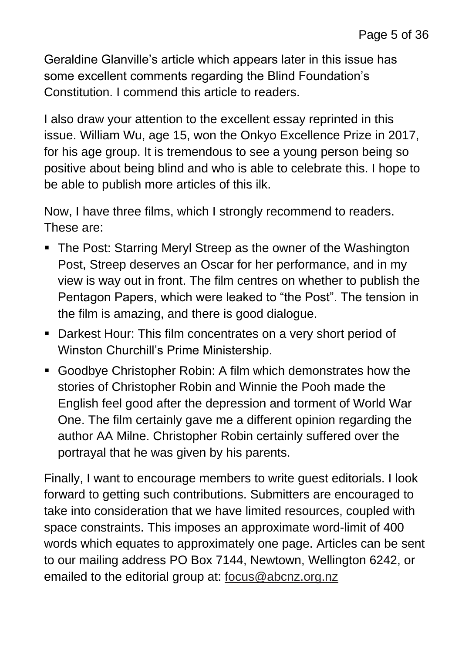Geraldine Glanville's article which appears later in this issue has some excellent comments regarding the Blind Foundation's Constitution. I commend this article to readers.

I also draw your attention to the excellent essay reprinted in this issue. William Wu, age 15, won the Onkyo Excellence Prize in 2017, for his age group. It is tremendous to see a young person being so positive about being blind and who is able to celebrate this. I hope to be able to publish more articles of this ilk.

Now, I have three films, which I strongly recommend to readers. These are:

- The Post: Starring Meryl Streep as the owner of the Washington Post, Streep deserves an Oscar for her performance, and in my view is way out in front. The film centres on whether to publish the Pentagon Papers, which were leaked to "the Post". The tension in the film is amazing, and there is good dialogue.
- Darkest Hour: This film concentrates on a very short period of Winston Churchill's Prime Ministership.
- Goodbye Christopher Robin: A film which demonstrates how the stories of Christopher Robin and Winnie the Pooh made the English feel good after the depression and torment of World War One. The film certainly gave me a different opinion regarding the author AA Milne. Christopher Robin certainly suffered over the portrayal that he was given by his parents.

Finally, I want to encourage members to write guest editorials. I look forward to getting such contributions. Submitters are encouraged to take into consideration that we have limited resources, coupled with space constraints. This imposes an approximate word-limit of 400 words which equates to approximately one page. Articles can be sent to our mailing address PO Box 7144, Newtown, Wellington 6242, or emailed to the editorial group at: [focus@abcnz.org.nz](mailto:focus@abcnz.org.nz)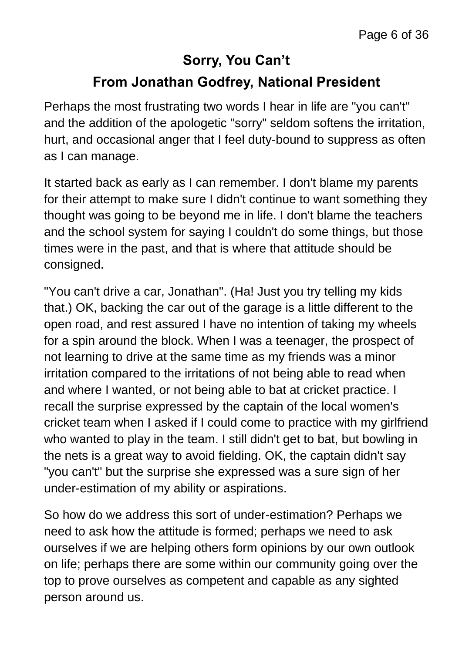### **Sorry, You Can't From Jonathan Godfrey, National President**

Perhaps the most frustrating two words I hear in life are "you can't" and the addition of the apologetic "sorry" seldom softens the irritation, hurt, and occasional anger that I feel duty-bound to suppress as often as I can manage.

It started back as early as I can remember. I don't blame my parents for their attempt to make sure I didn't continue to want something they thought was going to be beyond me in life. I don't blame the teachers and the school system for saying I couldn't do some things, but those times were in the past, and that is where that attitude should be consigned.

"You can't drive a car, Jonathan". (Ha! Just you try telling my kids that.) OK, backing the car out of the garage is a little different to the open road, and rest assured I have no intention of taking my wheels for a spin around the block. When I was a teenager, the prospect of not learning to drive at the same time as my friends was a minor irritation compared to the irritations of not being able to read when and where I wanted, or not being able to bat at cricket practice. I recall the surprise expressed by the captain of the local women's cricket team when I asked if I could come to practice with my girlfriend who wanted to play in the team. I still didn't get to bat, but bowling in the nets is a great way to avoid fielding. OK, the captain didn't say "you can't" but the surprise she expressed was a sure sign of her under-estimation of my ability or aspirations.

So how do we address this sort of under-estimation? Perhaps we need to ask how the attitude is formed; perhaps we need to ask ourselves if we are helping others form opinions by our own outlook on life; perhaps there are some within our community going over the top to prove ourselves as competent and capable as any sighted person around us.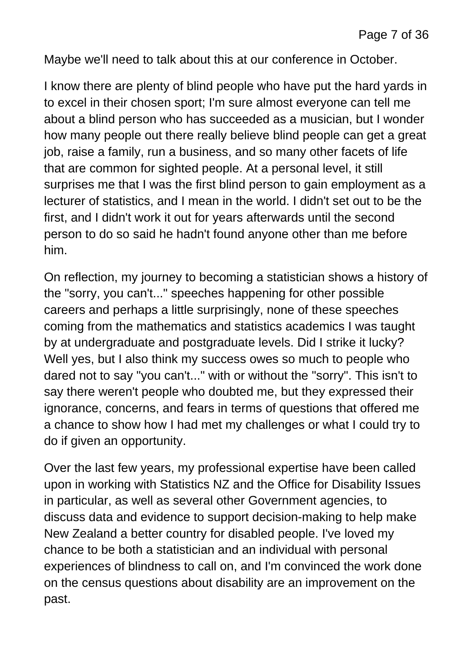Maybe we'll need to talk about this at our conference in October.

I know there are plenty of blind people who have put the hard yards in to excel in their chosen sport; I'm sure almost everyone can tell me about a blind person who has succeeded as a musician, but I wonder how many people out there really believe blind people can get a great job, raise a family, run a business, and so many other facets of life that are common for sighted people. At a personal level, it still surprises me that I was the first blind person to gain employment as a lecturer of statistics, and I mean in the world. I didn't set out to be the first, and I didn't work it out for years afterwards until the second person to do so said he hadn't found anyone other than me before him.

On reflection, my journey to becoming a statistician shows a history of the "sorry, you can't..." speeches happening for other possible careers and perhaps a little surprisingly, none of these speeches coming from the mathematics and statistics academics I was taught by at undergraduate and postgraduate levels. Did I strike it lucky? Well yes, but I also think my success owes so much to people who dared not to say "you can't..." with or without the "sorry". This isn't to say there weren't people who doubted me, but they expressed their ignorance, concerns, and fears in terms of questions that offered me a chance to show how I had met my challenges or what I could try to do if given an opportunity.

Over the last few years, my professional expertise have been called upon in working with Statistics NZ and the Office for Disability Issues in particular, as well as several other Government agencies, to discuss data and evidence to support decision-making to help make New Zealand a better country for disabled people. I've loved my chance to be both a statistician and an individual with personal experiences of blindness to call on, and I'm convinced the work done on the census questions about disability are an improvement on the past.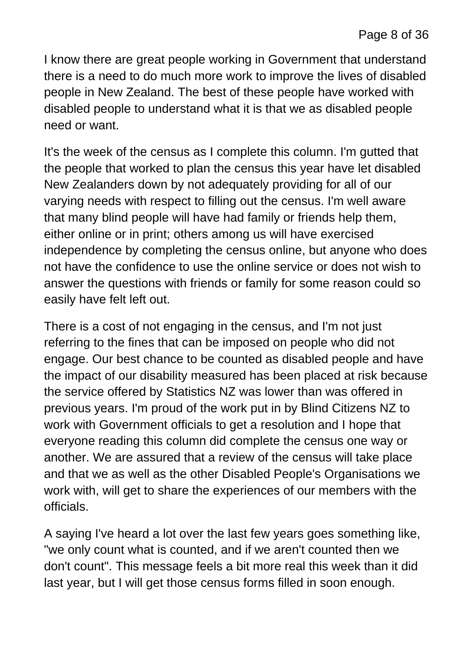I know there are great people working in Government that understand there is a need to do much more work to improve the lives of disabled people in New Zealand. The best of these people have worked with disabled people to understand what it is that we as disabled people need or want.

It's the week of the census as I complete this column. I'm gutted that the people that worked to plan the census this year have let disabled New Zealanders down by not adequately providing for all of our varying needs with respect to filling out the census. I'm well aware that many blind people will have had family or friends help them, either online or in print; others among us will have exercised independence by completing the census online, but anyone who does not have the confidence to use the online service or does not wish to answer the questions with friends or family for some reason could so easily have felt left out.

There is a cost of not engaging in the census, and I'm not just referring to the fines that can be imposed on people who did not engage. Our best chance to be counted as disabled people and have the impact of our disability measured has been placed at risk because the service offered by Statistics NZ was lower than was offered in previous years. I'm proud of the work put in by Blind Citizens NZ to work with Government officials to get a resolution and I hope that everyone reading this column did complete the census one way or another. We are assured that a review of the census will take place and that we as well as the other Disabled People's Organisations we work with, will get to share the experiences of our members with the officials.

A saying I've heard a lot over the last few years goes something like, "we only count what is counted, and if we aren't counted then we don't count". This message feels a bit more real this week than it did last year, but I will get those census forms filled in soon enough.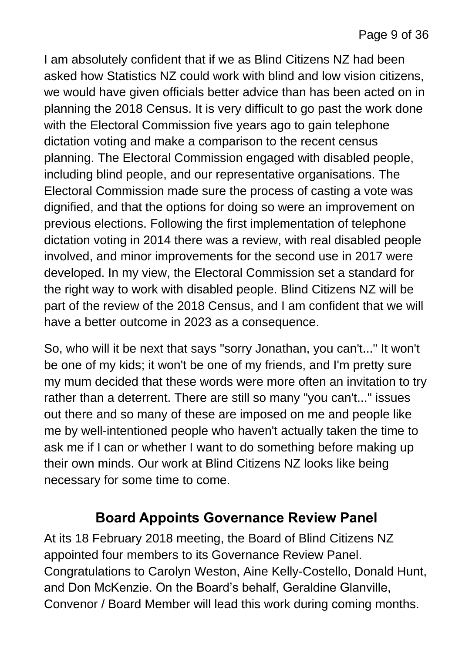I am absolutely confident that if we as Blind Citizens NZ had been asked how Statistics NZ could work with blind and low vision citizens, we would have given officials better advice than has been acted on in planning the 2018 Census. It is very difficult to go past the work done with the Electoral Commission five years ago to gain telephone dictation voting and make a comparison to the recent census planning. The Electoral Commission engaged with disabled people, including blind people, and our representative organisations. The Electoral Commission made sure the process of casting a vote was dignified, and that the options for doing so were an improvement on previous elections. Following the first implementation of telephone dictation voting in 2014 there was a review, with real disabled people involved, and minor improvements for the second use in 2017 were developed. In my view, the Electoral Commission set a standard for the right way to work with disabled people. Blind Citizens NZ will be part of the review of the 2018 Census, and I am confident that we will have a better outcome in 2023 as a consequence.

So, who will it be next that says "sorry Jonathan, you can't..." It won't be one of my kids; it won't be one of my friends, and I'm pretty sure my mum decided that these words were more often an invitation to try rather than a deterrent. There are still so many "you can't..." issues out there and so many of these are imposed on me and people like me by well-intentioned people who haven't actually taken the time to ask me if I can or whether I want to do something before making up their own minds. Our work at Blind Citizens NZ looks like being necessary for some time to come.

#### **Board Appoints Governance Review Panel**

At its 18 February 2018 meeting, the Board of Blind Citizens NZ appointed four members to its Governance Review Panel. Congratulations to Carolyn Weston, Aine Kelly-Costello, Donald Hunt, and Don McKenzie. On the Board's behalf, Geraldine Glanville, Convenor / Board Member will lead this work during coming months.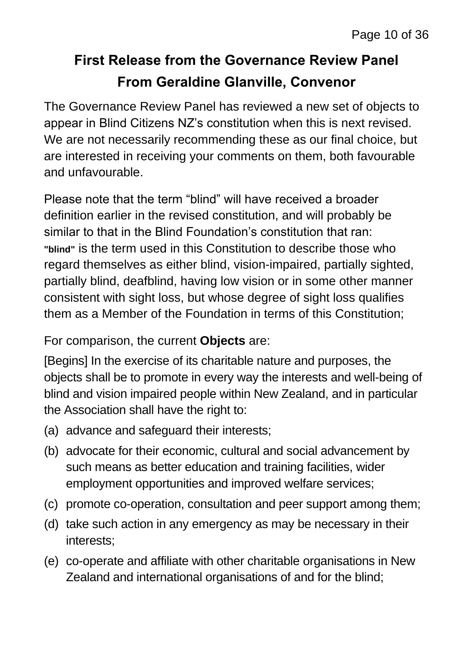### **First Release from the Governance Review Panel From Geraldine Glanville, Convenor**

The Governance Review Panel has reviewed a new set of objects to appear in Blind Citizens NZ's constitution when this is next revised. We are not necessarily recommending these as our final choice, but are interested in receiving your comments on them, both favourable and unfavourable.

Please note that the term "blind" will have received a broader definition earlier in the revised constitution, and will probably be similar to that in the Blind Foundation's constitution that ran: **"blind"** is the term used in this Constitution to describe those who regard themselves as either blind, vision-impaired, partially sighted, partially blind, deafblind, having low vision or in some other manner consistent with sight loss, but whose degree of sight loss qualifies them as a Member of the Foundation in terms of this Constitution;

#### For comparison, the current **Objects** are:

[Begins] In the exercise of its charitable nature and purposes, the objects shall be to promote in every way the interests and well-being of blind and vision impaired people within New Zealand, and in particular the Association shall have the right to:

- (a) advance and safeguard their interests;
- (b) advocate for their economic, cultural and social advancement by such means as better education and training facilities, wider employment opportunities and improved welfare services;
- (c) promote co-operation, consultation and peer support among them;
- (d) take such action in any emergency as may be necessary in their interests;
- (e) co-operate and affiliate with other charitable organisations in New Zealand and international organisations of and for the blind;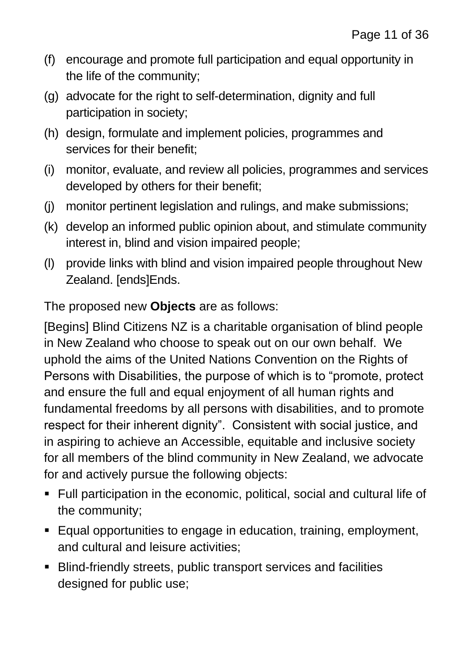- (f) encourage and promote full participation and equal opportunity in the life of the community;
- (g) advocate for the right to self-determination, dignity and full participation in society;
- (h) design, formulate and implement policies, programmes and services for their benefit;
- (i) monitor, evaluate, and review all policies, programmes and services developed by others for their benefit;
- (j) monitor pertinent legislation and rulings, and make submissions;
- (k) develop an informed public opinion about, and stimulate community interest in, blind and vision impaired people;
- (l) provide links with blind and vision impaired people throughout New Zealand. [ends]Ends.

The proposed new **Objects** are as follows:

[Begins] Blind Citizens NZ is a charitable organisation of blind people in New Zealand who choose to speak out on our own behalf. We uphold the aims of the United Nations Convention on the Rights of Persons with Disabilities, the purpose of which is to "promote, protect and ensure the full and equal enjoyment of all human rights and fundamental freedoms by all persons with disabilities, and to promote respect for their inherent dignity". Consistent with social justice, and in aspiring to achieve an Accessible, equitable and inclusive society for all members of the blind community in New Zealand, we advocate for and actively pursue the following objects:

- Full participation in the economic, political, social and cultural life of the community;
- Equal opportunities to engage in education, training, employment, and cultural and leisure activities;
- Blind-friendly streets, public transport services and facilities designed for public use;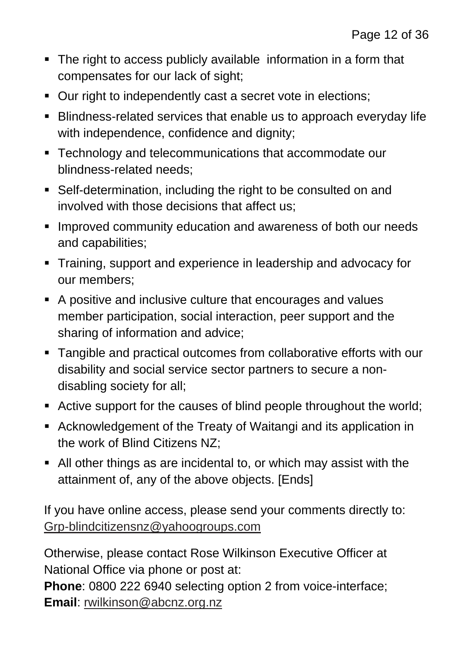- The right to access publicly available information in a form that compensates for our lack of sight;
- Our right to independently cast a secret vote in elections;
- Blindness-related services that enable us to approach everyday life with independence, confidence and dignity;
- **F** Technology and telecommunications that accommodate our blindness-related needs;
- Self-determination, including the right to be consulted on and involved with those decisions that affect us;
- **IMPROVED COMMUNITY Education and awareness of both our needs** and capabilities;
- **Training, support and experience in leadership and advocacy for** our members;
- A positive and inclusive culture that encourages and values member participation, social interaction, peer support and the sharing of information and advice;
- Tangible and practical outcomes from collaborative efforts with our disability and social service sector partners to secure a nondisabling society for all;
- Active support for the causes of blind people throughout the world;
- Acknowledgement of the Treaty of Waitangi and its application in the work of Blind Citizens NZ;
- All other things as are incidental to, or which may assist with the attainment of, any of the above objects. [Ends]

If you have online access, please send your comments directly to: [Grp-blindcitizensnz@yahoogroups.com](mailto:Grp-blindcitizensnz@yahoogroups.com)

Otherwise, please contact Rose Wilkinson Executive Officer at National Office via phone or post at:

**Phone**: 0800 222 6940 selecting option 2 from voice-interface; **Email**: [rwilkinson@abcnz.org.nz](mailto:rwilkinson@abcnz.org.nz)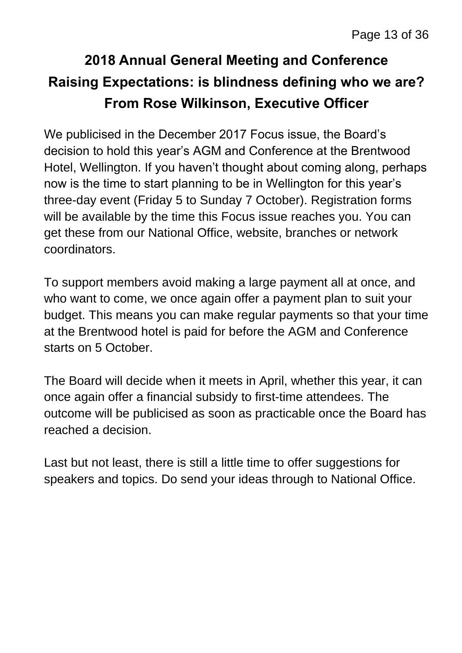### **2018 Annual General Meeting and Conference Raising Expectations: is blindness defining who we are? From Rose Wilkinson, Executive Officer**

We publicised in the December 2017 Focus issue, the Board's decision to hold this year's AGM and Conference at the Brentwood Hotel, Wellington. If you haven't thought about coming along, perhaps now is the time to start planning to be in Wellington for this year's three-day event (Friday 5 to Sunday 7 October). Registration forms will be available by the time this Focus issue reaches you. You can get these from our National Office, website, branches or network coordinators.

To support members avoid making a large payment all at once, and who want to come, we once again offer a payment plan to suit your budget. This means you can make regular payments so that your time at the Brentwood hotel is paid for before the AGM and Conference starts on 5 October.

The Board will decide when it meets in April, whether this year, it can once again offer a financial subsidy to first-time attendees. The outcome will be publicised as soon as practicable once the Board has reached a decision.

Last but not least, there is still a little time to offer suggestions for speakers and topics. Do send your ideas through to National Office.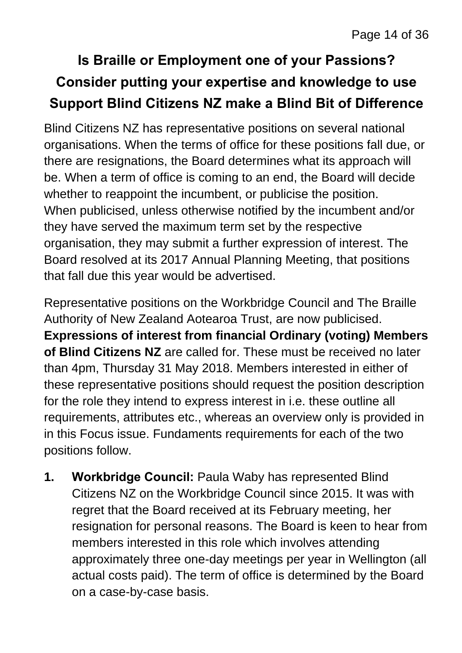### **Is Braille or Employment one of your Passions? Consider putting your expertise and knowledge to use Support Blind Citizens NZ make a Blind Bit of Difference**

Blind Citizens NZ has representative positions on several national organisations. When the terms of office for these positions fall due, or there are resignations, the Board determines what its approach will be. When a term of office is coming to an end, the Board will decide whether to reappoint the incumbent, or publicise the position. When publicised, unless otherwise notified by the incumbent and/or they have served the maximum term set by the respective organisation, they may submit a further expression of interest. The Board resolved at its 2017 Annual Planning Meeting, that positions that fall due this year would be advertised.

Representative positions on the Workbridge Council and The Braille Authority of New Zealand Aotearoa Trust, are now publicised. **Expressions of interest from financial Ordinary (voting) Members of Blind Citizens NZ** are called for. These must be received no later than 4pm, Thursday 31 May 2018. Members interested in either of these representative positions should request the position description for the role they intend to express interest in i.e. these outline all requirements, attributes etc., whereas an overview only is provided in in this Focus issue. Fundaments requirements for each of the two positions follow.

**1. Workbridge Council:** Paula Waby has represented Blind Citizens NZ on the Workbridge Council since 2015. It was with regret that the Board received at its February meeting, her resignation for personal reasons. The Board is keen to hear from members interested in this role which involves attending approximately three one-day meetings per year in Wellington (all actual costs paid). The term of office is determined by the Board on a case-by-case basis.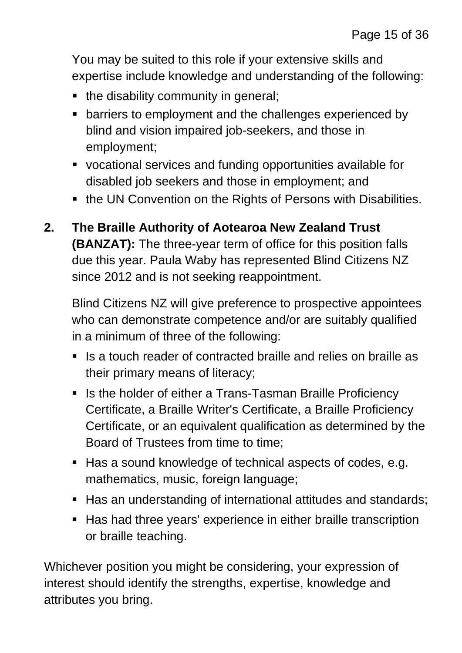You may be suited to this role if your extensive skills and expertise include knowledge and understanding of the following:

- the disability community in general;
- **EXTERN** barriers to employment and the challenges experienced by blind and vision impaired job-seekers, and those in employment;
- vocational services and funding opportunities available for disabled job seekers and those in employment; and
- the UN Convention on the Rights of Persons with Disabilities.
- **2. The Braille Authority of Aotearoa New Zealand Trust (BANZAT):** The three-year term of office for this position falls due this year. Paula Waby has represented Blind Citizens NZ since 2012 and is not seeking reappointment.

Blind Citizens NZ will give preference to prospective appointees who can demonstrate competence and/or are suitably qualified in a minimum of three of the following:

- Is a touch reader of contracted braille and relies on braille as their primary means of literacy;
- Is the holder of either a Trans-Tasman Braille Proficiency Certificate, a Braille Writer's Certificate, a Braille Proficiency Certificate, or an equivalent qualification as determined by the Board of Trustees from time to time;
- Has a sound knowledge of technical aspects of codes, e.g. mathematics, music, foreign language;
- Has an understanding of international attitudes and standards;
- Has had three years' experience in either braille transcription or braille teaching.

Whichever position you might be considering, your expression of interest should identify the strengths, expertise, knowledge and attributes you bring.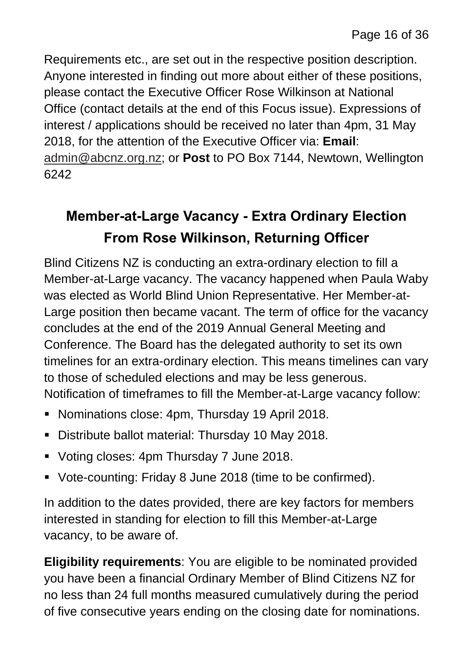Requirements etc., are set out in the respective position description. Anyone interested in finding out more about either of these positions, please contact the Executive Officer Rose Wilkinson at National Office (contact details at the end of this Focus issue). Expressions of interest / applications should be received no later than 4pm, 31 May 2018, for the attention of the Executive Officer via: **Email**: [admin@abcnz.org.nz;](mailto:admin@abcnz.org.nz) or **Post** to PO Box 7144, Newtown, Wellington 6242

### **Member-at-Large Vacancy - Extra Ordinary Election From Rose Wilkinson, Returning Officer**

Blind Citizens NZ is conducting an extra-ordinary election to fill a Member-at-Large vacancy. The vacancy happened when Paula Waby was elected as World Blind Union Representative. Her Member-at-Large position then became vacant. The term of office for the vacancy concludes at the end of the 2019 Annual General Meeting and Conference. The Board has the delegated authority to set its own timelines for an extra-ordinary election. This means timelines can vary to those of scheduled elections and may be less generous. Notification of timeframes to fill the Member-at-Large vacancy follow:

- **Nominations close: 4pm, Thursday 19 April 2018.**
- Distribute ballot material: Thursday 10 May 2018.
- **Voting closes: 4pm Thursday 7 June 2018.**
- Vote-counting: Friday 8 June 2018 (time to be confirmed).

In addition to the dates provided, there are key factors for members interested in standing for election to fill this Member-at-Large vacancy, to be aware of.

**Eligibility requirements**: You are eligible to be nominated provided you have been a financial Ordinary Member of Blind Citizens NZ for no less than 24 full months measured cumulatively during the period of five consecutive years ending on the closing date for nominations.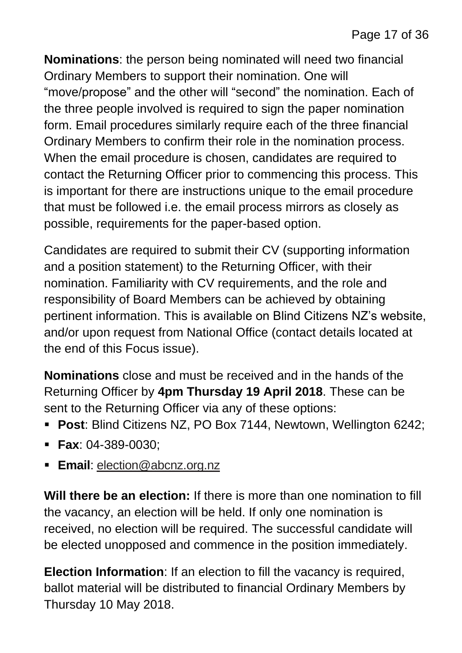**Nominations**: the person being nominated will need two financial Ordinary Members to support their nomination. One will "move/propose" and the other will "second" the nomination. Each of the three people involved is required to sign the paper nomination form. Email procedures similarly require each of the three financial Ordinary Members to confirm their role in the nomination process. When the email procedure is chosen, candidates are required to contact the Returning Officer prior to commencing this process. This is important for there are instructions unique to the email procedure that must be followed i.e. the email process mirrors as closely as possible, requirements for the paper-based option.

Candidates are required to submit their CV (supporting information and a position statement) to the Returning Officer, with their nomination. Familiarity with CV requirements, and the role and responsibility of Board Members can be achieved by obtaining pertinent information. This is available on Blind Citizens NZ's website, and/or upon request from National Office (contact details located at the end of this Focus issue).

**Nominations** close and must be received and in the hands of the Returning Officer by **4pm Thursday 19 April 2018**. These can be sent to the Returning Officer via any of these options:

- **Post**: Blind Citizens NZ, PO Box 7144, Newtown, Wellington 6242;
- **Fax**: 04-389-0030;
- **Email**: [election@abcnz.org.nz](mailto:election@abcnz.org.nz)

**Will there be an election:** If there is more than one nomination to fill the vacancy, an election will be held. If only one nomination is received, no election will be required. The successful candidate will be elected unopposed and commence in the position immediately.

**Election Information**: If an election to fill the vacancy is required, ballot material will be distributed to financial Ordinary Members by Thursday 10 May 2018.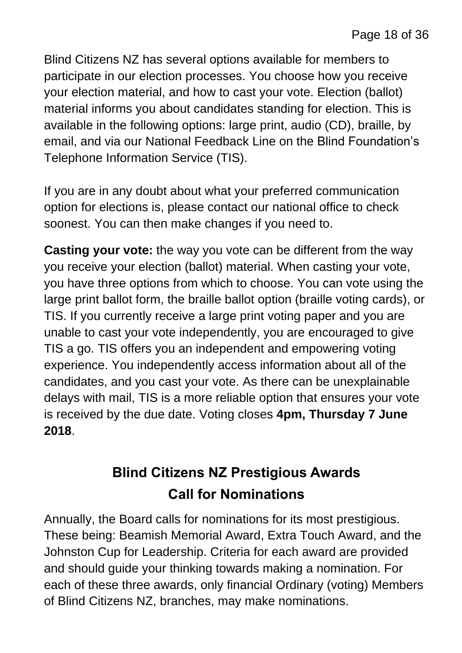Blind Citizens NZ has several options available for members to participate in our election processes. You choose how you receive your election material, and how to cast your vote. Election (ballot) material informs you about candidates standing for election. This is available in the following options: large print, audio (CD), braille, by email, and via our National Feedback Line on the Blind Foundation's Telephone Information Service (TIS).

If you are in any doubt about what your preferred communication option for elections is, please contact our national office to check soonest. You can then make changes if you need to.

**Casting your vote:** the way you vote can be different from the way you receive your election (ballot) material. When casting your vote, you have three options from which to choose. You can vote using the large print ballot form, the braille ballot option (braille voting cards), or TIS. If you currently receive a large print voting paper and you are unable to cast your vote independently, you are encouraged to give TIS a go. TIS offers you an independent and empowering voting experience. You independently access information about all of the candidates, and you cast your vote. As there can be unexplainable delays with mail, TIS is a more reliable option that ensures your vote is received by the due date. Voting closes **4pm, Thursday 7 June 2018**.

### **Blind Citizens NZ Prestigious Awards Call for Nominations**

Annually, the Board calls for nominations for its most prestigious. These being: Beamish Memorial Award, Extra Touch Award, and the Johnston Cup for Leadership. Criteria for each award are provided and should guide your thinking towards making a nomination. For each of these three awards, only financial Ordinary (voting) Members of Blind Citizens NZ, branches, may make nominations.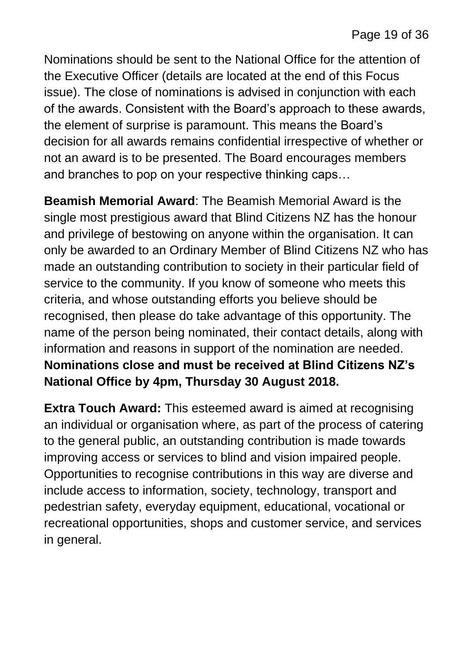Nominations should be sent to the National Office for the attention of the Executive Officer (details are located at the end of this Focus issue). The close of nominations is advised in conjunction with each of the awards. Consistent with the Board's approach to these awards, the element of surprise is paramount. This means the Board's decision for all awards remains confidential irrespective of whether or not an award is to be presented. The Board encourages members and branches to pop on your respective thinking caps…

**Beamish Memorial Award**: The Beamish Memorial Award is the single most prestigious award that Blind Citizens NZ has the honour and privilege of bestowing on anyone within the organisation. It can only be awarded to an Ordinary Member of Blind Citizens NZ who has made an outstanding contribution to society in their particular field of service to the community. If you know of someone who meets this criteria, and whose outstanding efforts you believe should be recognised, then please do take advantage of this opportunity. The name of the person being nominated, their contact details, along with information and reasons in support of the nomination are needed. **Nominations close and must be received at Blind Citizens NZ's National Office by 4pm, Thursday 30 August 2018.**

**Extra Touch Award:** This esteemed award is aimed at recognising an individual or organisation where, as part of the process of catering to the general public, an outstanding contribution is made towards improving access or services to blind and vision impaired people. Opportunities to recognise contributions in this way are diverse and include access to information, society, technology, transport and pedestrian safety, everyday equipment, educational, vocational or recreational opportunities, shops and customer service, and services in general.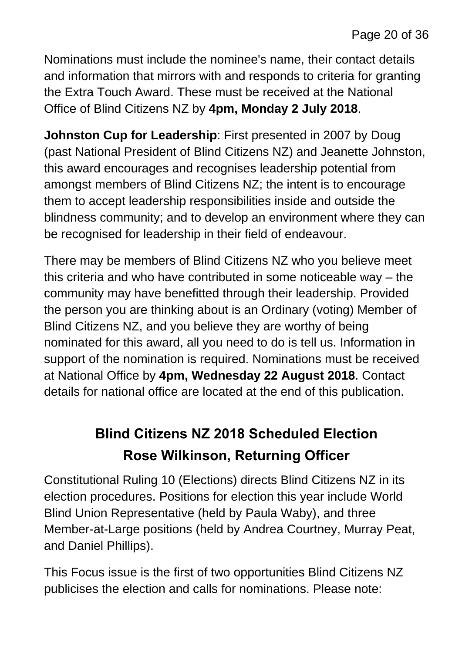Nominations must include the nominee's name, their contact details and information that mirrors with and responds to criteria for granting the Extra Touch Award. These must be received at the National Office of Blind Citizens NZ by **4pm, Monday 2 July 2018**.

**Johnston Cup for Leadership**: First presented in 2007 by Doug (past National President of Blind Citizens NZ) and Jeanette Johnston, this award encourages and recognises leadership potential from amongst members of Blind Citizens NZ; the intent is to encourage them to accept leadership responsibilities inside and outside the blindness community; and to develop an environment where they can be recognised for leadership in their field of endeavour.

There may be members of Blind Citizens NZ who you believe meet this criteria and who have contributed in some noticeable way – the community may have benefitted through their leadership. Provided the person you are thinking about is an Ordinary (voting) Member of Blind Citizens NZ, and you believe they are worthy of being nominated for this award, all you need to do is tell us. Information in support of the nomination is required. Nominations must be received at National Office by **4pm, Wednesday 22 August 2018**. Contact details for national office are located at the end of this publication.

### **Blind Citizens NZ 2018 Scheduled Election Rose Wilkinson, Returning Officer**

Constitutional Ruling 10 (Elections) directs Blind Citizens NZ in its election procedures. Positions for election this year include World Blind Union Representative (held by Paula Waby), and three Member-at-Large positions (held by Andrea Courtney, Murray Peat, and Daniel Phillips).

This Focus issue is the first of two opportunities Blind Citizens NZ publicises the election and calls for nominations. Please note: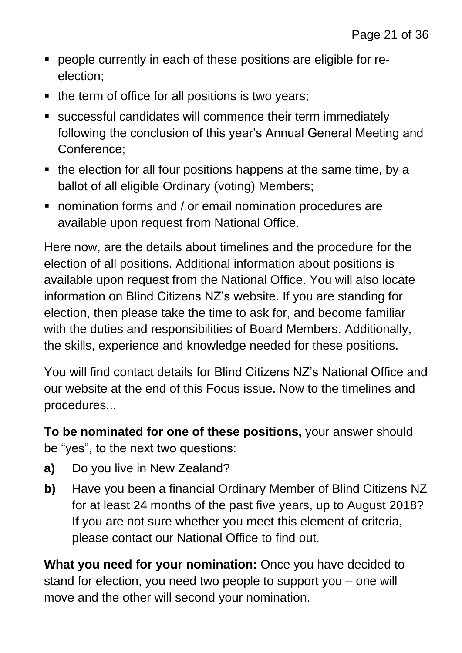- people currently in each of these positions are eligible for reelection;
- $\blacksquare$  the term of office for all positions is two years;
- successful candidates will commence their term immediately following the conclusion of this year's Annual General Meeting and Conference;
- $\blacksquare$  the election for all four positions happens at the same time, by a ballot of all eligible Ordinary (voting) Members;
- **nomination forms and / or email nomination procedures are** available upon request from National Office.

Here now, are the details about timelines and the procedure for the election of all positions. Additional information about positions is available upon request from the National Office. You will also locate information on Blind Citizens NZ's website. If you are standing for election, then please take the time to ask for, and become familiar with the duties and responsibilities of Board Members. Additionally, the skills, experience and knowledge needed for these positions.

You will find contact details for Blind Citizens NZ's National Office and our website at the end of this Focus issue. Now to the timelines and procedures...

**To be nominated for one of these positions,** your answer should be "yes", to the next two questions:

- **a)** Do you live in New Zealand?
- **b)** Have you been a financial Ordinary Member of Blind Citizens NZ for at least 24 months of the past five years, up to August 2018? If you are not sure whether you meet this element of criteria, please contact our National Office to find out.

**What you need for your nomination:** Once you have decided to stand for election, you need two people to support you – one will move and the other will second your nomination.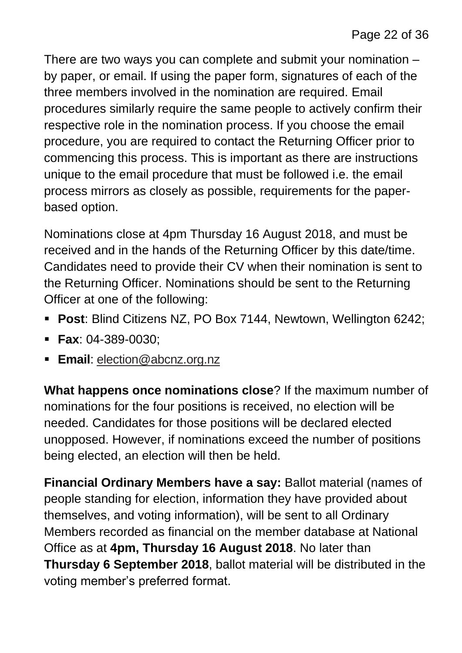There are two ways you can complete and submit your nomination – by paper, or email. If using the paper form, signatures of each of the three members involved in the nomination are required. Email procedures similarly require the same people to actively confirm their respective role in the nomination process. If you choose the email procedure, you are required to contact the Returning Officer prior to commencing this process. This is important as there are instructions unique to the email procedure that must be followed i.e. the email process mirrors as closely as possible, requirements for the paperbased option.

Nominations close at 4pm Thursday 16 August 2018, and must be received and in the hands of the Returning Officer by this date/time. Candidates need to provide their CV when their nomination is sent to the Returning Officer. Nominations should be sent to the Returning Officer at one of the following:

- **Post**: Blind Citizens NZ, PO Box 7144, Newtown, Wellington 6242;
- **Fax**: 04-389-0030;
- **Email:** [election@abcnz.org.nz](mailto:election@abcnz.org.nz)

**What happens once nominations close**? If the maximum number of nominations for the four positions is received, no election will be needed. Candidates for those positions will be declared elected unopposed. However, if nominations exceed the number of positions being elected, an election will then be held.

**Financial Ordinary Members have a say:** Ballot material (names of people standing for election, information they have provided about themselves, and voting information), will be sent to all Ordinary Members recorded as financial on the member database at National Office as at **4pm, Thursday 16 August 2018**. No later than **Thursday 6 September 2018**, ballot material will be distributed in the voting member's preferred format.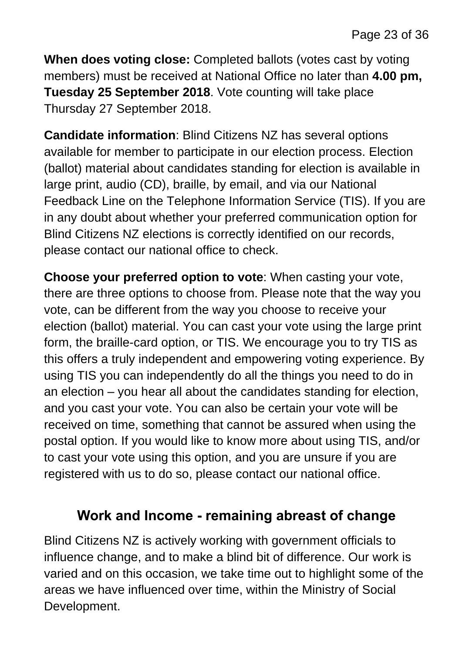**When does voting close:** Completed ballots (votes cast by voting members) must be received at National Office no later than **4.00 pm, Tuesday 25 September 2018**. Vote counting will take place Thursday 27 September 2018.

**Candidate information**: Blind Citizens NZ has several options available for member to participate in our election process. Election (ballot) material about candidates standing for election is available in large print, audio (CD), braille, by email, and via our National Feedback Line on the Telephone Information Service (TIS). If you are in any doubt about whether your preferred communication option for Blind Citizens NZ elections is correctly identified on our records, please contact our national office to check.

**Choose your preferred option to vote**: When casting your vote, there are three options to choose from. Please note that the way you vote, can be different from the way you choose to receive your election (ballot) material. You can cast your vote using the large print form, the braille-card option, or TIS. We encourage you to try TIS as this offers a truly independent and empowering voting experience. By using TIS you can independently do all the things you need to do in an election – you hear all about the candidates standing for election, and you cast your vote. You can also be certain your vote will be received on time, something that cannot be assured when using the postal option. If you would like to know more about using TIS, and/or to cast your vote using this option, and you are unsure if you are registered with us to do so, please contact our national office.

#### **Work and Income - remaining abreast of change**

Blind Citizens NZ is actively working with government officials to influence change, and to make a blind bit of difference. Our work is varied and on this occasion, we take time out to highlight some of the areas we have influenced over time, within the Ministry of Social Development.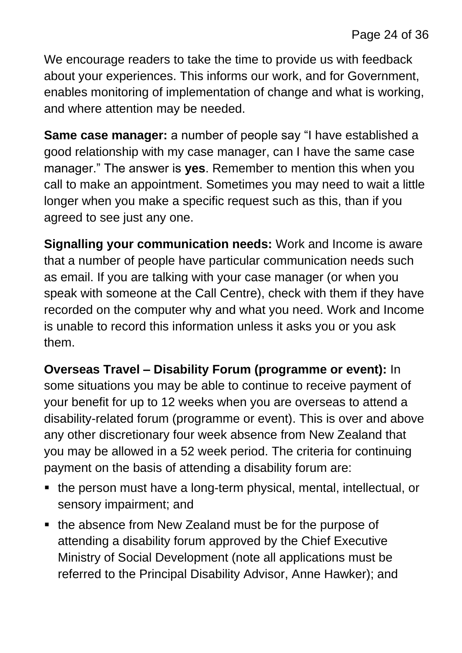We encourage readers to take the time to provide us with feedback about your experiences. This informs our work, and for Government, enables monitoring of implementation of change and what is working, and where attention may be needed.

**Same case manager:** a number of people say "I have established a good relationship with my case manager, can I have the same case manager." The answer is **yes**. Remember to mention this when you call to make an appointment. Sometimes you may need to wait a little longer when you make a specific request such as this, than if you agreed to see just any one.

**Signalling your communication needs:** Work and Income is aware that a number of people have particular communication needs such as email. If you are talking with your case manager (or when you speak with someone at the Call Centre), check with them if they have recorded on the computer why and what you need. Work and Income is unable to record this information unless it asks you or you ask them.

**Overseas Travel – Disability Forum (programme or event):** In some situations you may be able to continue to receive payment of your benefit for up to 12 weeks when you are overseas to attend a disability-related forum (programme or event). This is over and above any other discretionary four week absence from New Zealand that you may be allowed in a 52 week period. The criteria for continuing payment on the basis of attending a disability forum are:

- the person must have a long-term physical, mental, intellectual, or sensory impairment; and
- the absence from New Zealand must be for the purpose of attending a disability forum approved by the Chief Executive Ministry of Social Development (note all applications must be referred to the Principal Disability Advisor, Anne Hawker); and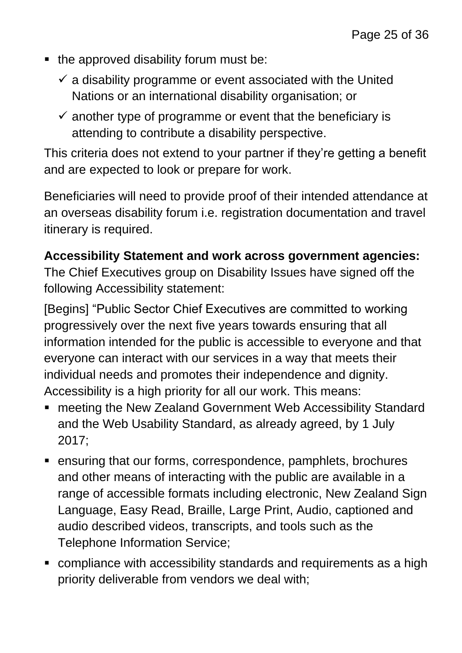- $\blacksquare$  the approved disability forum must be:
	- $\checkmark$  a disability programme or event associated with the United Nations or an international disability organisation; or
	- $\checkmark$  another type of programme or event that the beneficiary is attending to contribute a disability perspective.

This criteria does not extend to your partner if they're getting a benefit and are expected to look or prepare for work.

Beneficiaries will need to provide proof of their intended attendance at an overseas disability forum i.e. registration documentation and travel itinerary is required.

#### **Accessibility Statement and work across government agencies:**

The Chief Executives group on Disability Issues have signed off the following Accessibility statement:

[Begins] "Public Sector Chief Executives are committed to working progressively over the next five years towards ensuring that all information intended for the public is accessible to everyone and that everyone can interact with our services in a way that meets their individual needs and promotes their independence and dignity. Accessibility is a high priority for all our work. This means:

- meeting the New Zealand Government Web Accessibility Standard and the Web Usability Standard, as already agreed, by 1 July 2017;
- ensuring that our forms, correspondence, pamphlets, brochures and other means of interacting with the public are available in a range of accessible formats including electronic, New Zealand Sign Language, Easy Read, Braille, Large Print, Audio, captioned and audio described videos, transcripts, and tools such as the Telephone Information Service;
- compliance with accessibility standards and requirements as a high priority deliverable from vendors we deal with;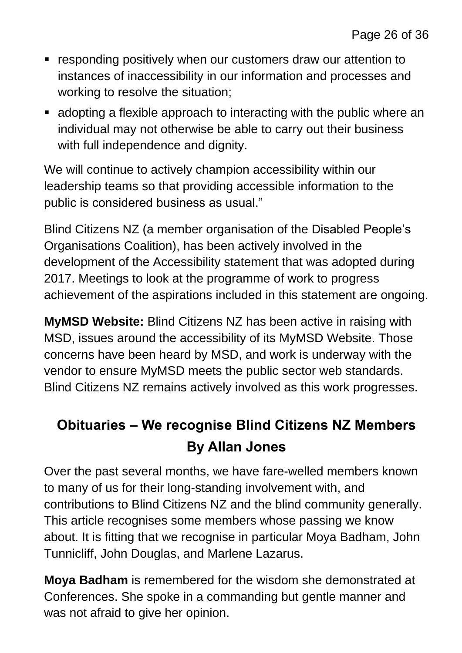- responding positively when our customers draw our attention to instances of inaccessibility in our information and processes and working to resolve the situation;
- adopting a flexible approach to interacting with the public where an individual may not otherwise be able to carry out their business with full independence and dignity.

We will continue to actively champion accessibility within our leadership teams so that providing accessible information to the public is considered business as usual."

Blind Citizens NZ (a member organisation of the Disabled People's Organisations Coalition), has been actively involved in the development of the Accessibility statement that was adopted during 2017. Meetings to look at the programme of work to progress achievement of the aspirations included in this statement are ongoing.

**MyMSD Website:** Blind Citizens NZ has been active in raising with MSD, issues around the accessibility of its MyMSD Website. Those concerns have been heard by MSD, and work is underway with the vendor to ensure MyMSD meets the public sector web standards. Blind Citizens NZ remains actively involved as this work progresses.

### **Obituaries – We recognise Blind Citizens NZ Members By Allan Jones**

Over the past several months, we have fare-welled members known to many of us for their long-standing involvement with, and contributions to Blind Citizens NZ and the blind community generally. This article recognises some members whose passing we know about. It is fitting that we recognise in particular Moya Badham, John Tunnicliff, John Douglas, and Marlene Lazarus.

**Moya Badham** is remembered for the wisdom she demonstrated at Conferences. She spoke in a commanding but gentle manner and was not afraid to give her opinion.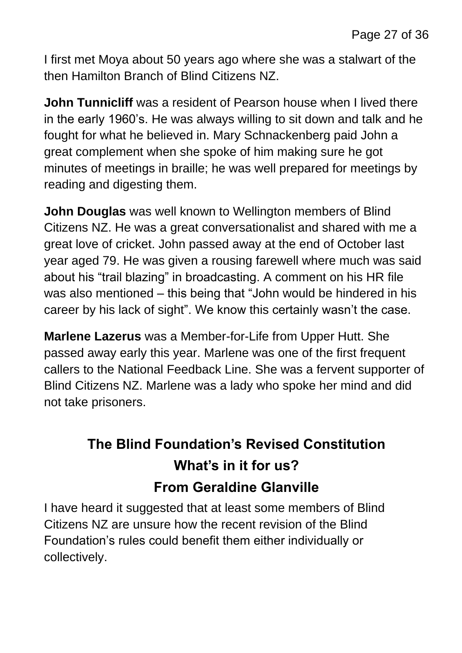I first met Moya about 50 years ago where she was a stalwart of the then Hamilton Branch of Blind Citizens NZ.

**John Tunnicliff** was a resident of Pearson house when I lived there in the early 1960's. He was always willing to sit down and talk and he fought for what he believed in. Mary Schnackenberg paid John a great complement when she spoke of him making sure he got minutes of meetings in braille; he was well prepared for meetings by reading and digesting them.

**John Douglas** was well known to Wellington members of Blind Citizens NZ. He was a great conversationalist and shared with me a great love of cricket. John passed away at the end of October last year aged 79. He was given a rousing farewell where much was said about his "trail blazing" in broadcasting. A comment on his HR file was also mentioned – this being that "John would be hindered in his career by his lack of sight". We know this certainly wasn't the case.

**Marlene Lazerus** was a Member-for-Life from Upper Hutt. She passed away early this year. Marlene was one of the first frequent callers to the National Feedback Line. She was a fervent supporter of Blind Citizens NZ. Marlene was a lady who spoke her mind and did not take prisoners.

### **The Blind Foundation's Revised Constitution What's in it for us? From Geraldine Glanville**

I have heard it suggested that at least some members of Blind Citizens NZ are unsure how the recent revision of the Blind Foundation's rules could benefit them either individually or collectively.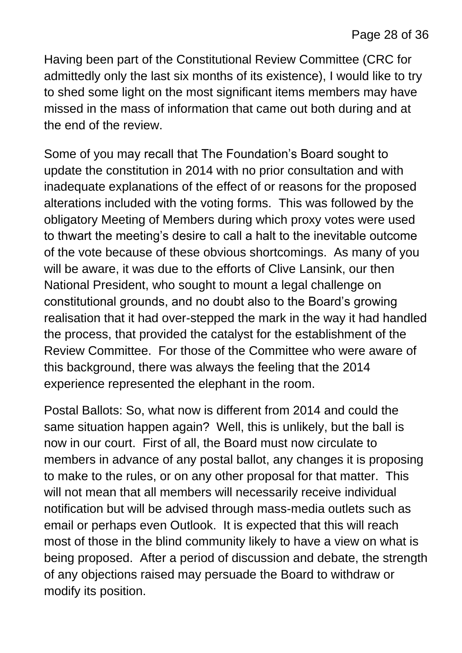Having been part of the Constitutional Review Committee (CRC for admittedly only the last six months of its existence), I would like to try to shed some light on the most significant items members may have missed in the mass of information that came out both during and at the end of the review.

Some of you may recall that The Foundation's Board sought to update the constitution in 2014 with no prior consultation and with inadequate explanations of the effect of or reasons for the proposed alterations included with the voting forms. This was followed by the obligatory Meeting of Members during which proxy votes were used to thwart the meeting's desire to call a halt to the inevitable outcome of the vote because of these obvious shortcomings. As many of you will be aware, it was due to the efforts of Clive Lansink, our then National President, who sought to mount a legal challenge on constitutional grounds, and no doubt also to the Board's growing realisation that it had over-stepped the mark in the way it had handled the process, that provided the catalyst for the establishment of the Review Committee. For those of the Committee who were aware of this background, there was always the feeling that the 2014 experience represented the elephant in the room.

Postal Ballots: So, what now is different from 2014 and could the same situation happen again? Well, this is unlikely, but the ball is now in our court. First of all, the Board must now circulate to members in advance of any postal ballot, any changes it is proposing to make to the rules, or on any other proposal for that matter. This will not mean that all members will necessarily receive individual notification but will be advised through mass-media outlets such as email or perhaps even Outlook. It is expected that this will reach most of those in the blind community likely to have a view on what is being proposed. After a period of discussion and debate, the strength of any objections raised may persuade the Board to withdraw or modify its position.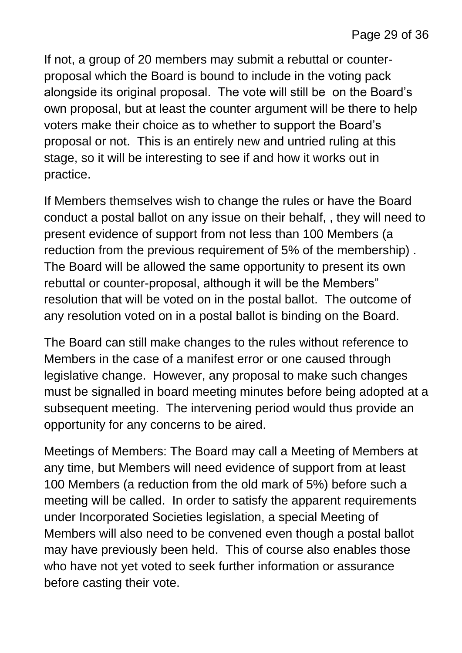If not, a group of 20 members may submit a rebuttal or counterproposal which the Board is bound to include in the voting pack alongside its original proposal. The vote will still be on the Board's own proposal, but at least the counter argument will be there to help voters make their choice as to whether to support the Board's proposal or not. This is an entirely new and untried ruling at this stage, so it will be interesting to see if and how it works out in practice.

If Members themselves wish to change the rules or have the Board conduct a postal ballot on any issue on their behalf, , they will need to present evidence of support from not less than 100 Members (a reduction from the previous requirement of 5% of the membership) . The Board will be allowed the same opportunity to present its own rebuttal or counter-proposal, although it will be the Members" resolution that will be voted on in the postal ballot. The outcome of any resolution voted on in a postal ballot is binding on the Board.

The Board can still make changes to the rules without reference to Members in the case of a manifest error or one caused through legislative change. However, any proposal to make such changes must be signalled in board meeting minutes before being adopted at a subsequent meeting. The intervening period would thus provide an opportunity for any concerns to be aired.

Meetings of Members: The Board may call a Meeting of Members at any time, but Members will need evidence of support from at least 100 Members (a reduction from the old mark of 5%) before such a meeting will be called. In order to satisfy the apparent requirements under Incorporated Societies legislation, a special Meeting of Members will also need to be convened even though a postal ballot may have previously been held. This of course also enables those who have not yet voted to seek further information or assurance before casting their vote.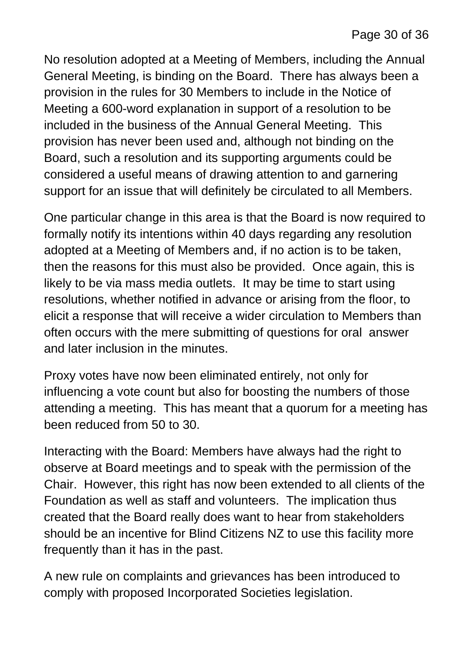No resolution adopted at a Meeting of Members, including the Annual General Meeting, is binding on the Board. There has always been a provision in the rules for 30 Members to include in the Notice of Meeting a 600-word explanation in support of a resolution to be included in the business of the Annual General Meeting. This provision has never been used and, although not binding on the Board, such a resolution and its supporting arguments could be considered a useful means of drawing attention to and garnering support for an issue that will definitely be circulated to all Members.

One particular change in this area is that the Board is now required to formally notify its intentions within 40 days regarding any resolution adopted at a Meeting of Members and, if no action is to be taken, then the reasons for this must also be provided. Once again, this is likely to be via mass media outlets. It may be time to start using resolutions, whether notified in advance or arising from the floor, to elicit a response that will receive a wider circulation to Members than often occurs with the mere submitting of questions for oral answer and later inclusion in the minutes.

Proxy votes have now been eliminated entirely, not only for influencing a vote count but also for boosting the numbers of those attending a meeting. This has meant that a quorum for a meeting has been reduced from 50 to 30.

Interacting with the Board: Members have always had the right to observe at Board meetings and to speak with the permission of the Chair. However, this right has now been extended to all clients of the Foundation as well as staff and volunteers. The implication thus created that the Board really does want to hear from stakeholders should be an incentive for Blind Citizens NZ to use this facility more frequently than it has in the past.

A new rule on complaints and grievances has been introduced to comply with proposed Incorporated Societies legislation.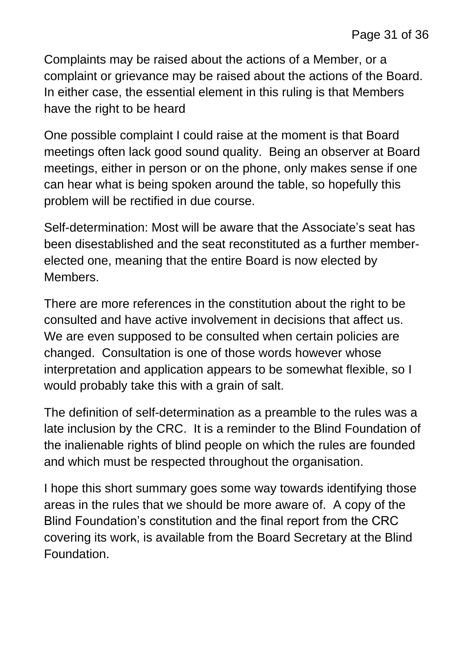Complaints may be raised about the actions of a Member, or a complaint or grievance may be raised about the actions of the Board. In either case, the essential element in this ruling is that Members have the right to be heard

One possible complaint I could raise at the moment is that Board meetings often lack good sound quality. Being an observer at Board meetings, either in person or on the phone, only makes sense if one can hear what is being spoken around the table, so hopefully this problem will be rectified in due course.

Self-determination: Most will be aware that the Associate's seat has been disestablished and the seat reconstituted as a further memberelected one, meaning that the entire Board is now elected by Members.

There are more references in the constitution about the right to be consulted and have active involvement in decisions that affect us. We are even supposed to be consulted when certain policies are changed. Consultation is one of those words however whose interpretation and application appears to be somewhat flexible, so I would probably take this with a grain of salt.

The definition of self-determination as a preamble to the rules was a late inclusion by the CRC. It is a reminder to the Blind Foundation of the inalienable rights of blind people on which the rules are founded and which must be respected throughout the organisation.

I hope this short summary goes some way towards identifying those areas in the rules that we should be more aware of. A copy of the Blind Foundation's constitution and the final report from the CRC covering its work, is available from the Board Secretary at the Blind Foundation.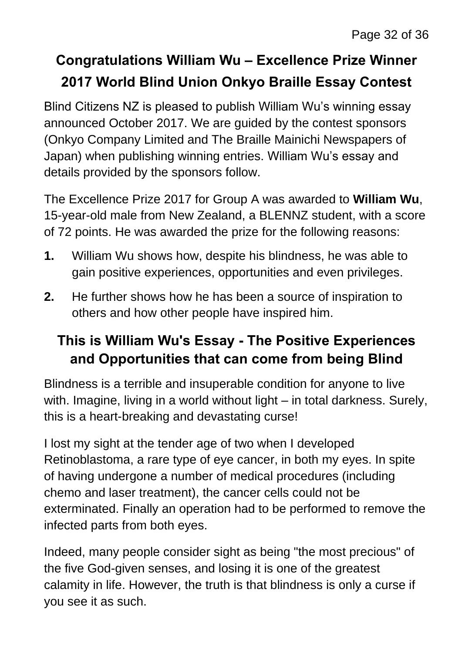### **Congratulations William Wu – Excellence Prize Winner 2017 World Blind Union Onkyo Braille Essay Contest**

Blind Citizens NZ is pleased to publish William Wu's winning essay announced October 2017. We are guided by the contest sponsors (Onkyo Company Limited and The Braille Mainichi Newspapers of Japan) when publishing winning entries. William Wu's essay and details provided by the sponsors follow.

The Excellence Prize 2017 for Group A was awarded to **William Wu**, 15-year-old male from New Zealand, a BLENNZ student, with a score of 72 points. He was awarded the prize for the following reasons:

- **1.** William Wu shows how, despite his blindness, he was able to gain positive experiences, opportunities and even privileges.
- **2.** He further shows how he has been a source of inspiration to others and how other people have inspired him.

### **This is William Wu's Essay - The Positive Experiences and Opportunities that can come from being Blind**

Blindness is a terrible and insuperable condition for anyone to live with. Imagine, living in a world without light – in total darkness. Surely, this is a heart-breaking and devastating curse!

I lost my sight at the tender age of two when I developed Retinoblastoma, a rare type of eye cancer, in both my eyes. In spite of having undergone a number of medical procedures (including chemo and laser treatment), the cancer cells could not be exterminated. Finally an operation had to be performed to remove the infected parts from both eyes.

Indeed, many people consider sight as being "the most precious" of the five God-given senses, and losing it is one of the greatest calamity in life. However, the truth is that blindness is only a curse if you see it as such.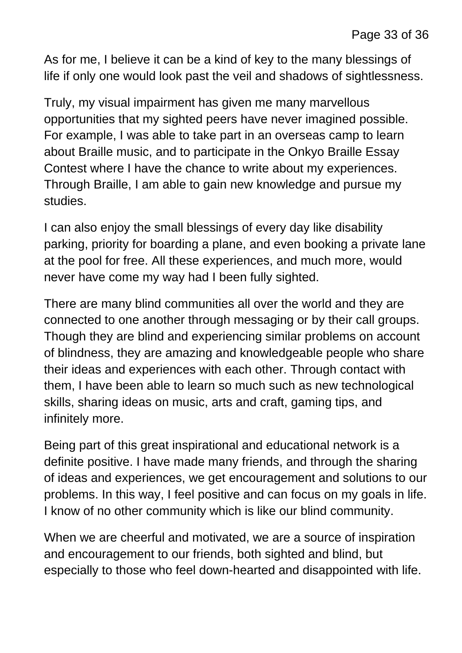As for me, I believe it can be a kind of key to the many blessings of life if only one would look past the veil and shadows of sightlessness.

Truly, my visual impairment has given me many marvellous opportunities that my sighted peers have never imagined possible. For example, I was able to take part in an overseas camp to learn about Braille music, and to participate in the Onkyo Braille Essay Contest where I have the chance to write about my experiences. Through Braille, I am able to gain new knowledge and pursue my studies.

I can also enjoy the small blessings of every day like disability parking, priority for boarding a plane, and even booking a private lane at the pool for free. All these experiences, and much more, would never have come my way had I been fully sighted.

There are many blind communities all over the world and they are connected to one another through messaging or by their call groups. Though they are blind and experiencing similar problems on account of blindness, they are amazing and knowledgeable people who share their ideas and experiences with each other. Through contact with them, I have been able to learn so much such as new technological skills, sharing ideas on music, arts and craft, gaming tips, and infinitely more.

Being part of this great inspirational and educational network is a definite positive. I have made many friends, and through the sharing of ideas and experiences, we get encouragement and solutions to our problems. In this way, I feel positive and can focus on my goals in life. I know of no other community which is like our blind community.

When we are cheerful and motivated, we are a source of inspiration and encouragement to our friends, both sighted and blind, but especially to those who feel down-hearted and disappointed with life.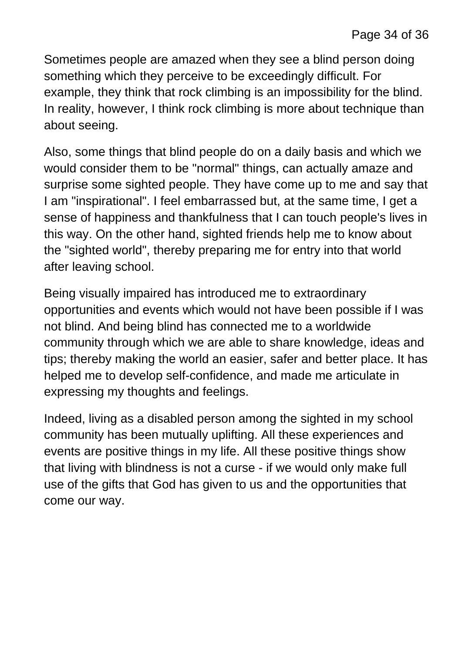Sometimes people are amazed when they see a blind person doing something which they perceive to be exceedingly difficult. For example, they think that rock climbing is an impossibility for the blind. In reality, however, I think rock climbing is more about technique than about seeing.

Also, some things that blind people do on a daily basis and which we would consider them to be "normal" things, can actually amaze and surprise some sighted people. They have come up to me and say that I am "inspirational". I feel embarrassed but, at the same time, I get a sense of happiness and thankfulness that I can touch people's lives in this way. On the other hand, sighted friends help me to know about the "sighted world", thereby preparing me for entry into that world after leaving school.

Being visually impaired has introduced me to extraordinary opportunities and events which would not have been possible if I was not blind. And being blind has connected me to a worldwide community through which we are able to share knowledge, ideas and tips; thereby making the world an easier, safer and better place. It has helped me to develop self-confidence, and made me articulate in expressing my thoughts and feelings.

Indeed, living as a disabled person among the sighted in my school community has been mutually uplifting. All these experiences and events are positive things in my life. All these positive things show that living with blindness is not a curse - if we would only make full use of the gifts that God has given to us and the opportunities that come our way.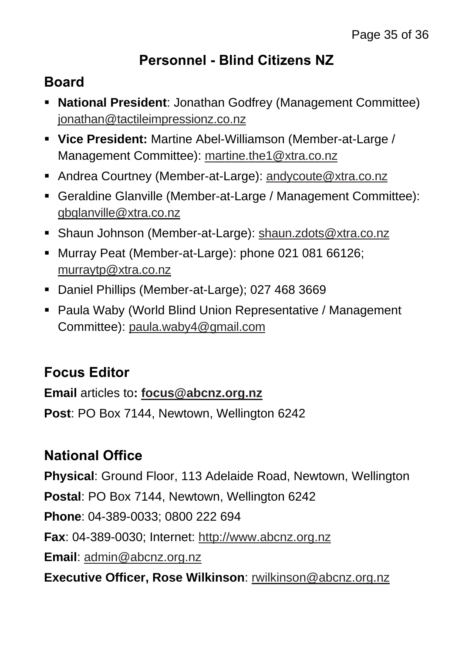#### **Personnel - Blind Citizens NZ**

#### **Board**

- **National President**: Jonathan Godfrey (Management Committee) [jonathan@tactileimpressionz.co.nz](mailto:jonathan@tactileimpressionz.co.nz)
- **Vice President:** Martine Abel-Williamson (Member-at-Large / Management Committee): [martine.the1@xtra.co.nz](mailto:martine.the1@xtra.co.nz)
- Andrea Courtney (Member-at-Large): [andycoute@xtra.co.nz](mailto:andycoute@xtra.co.nz)
- Geraldine Glanville (Member-at-Large / Management Committee): [gbglanville@xtra.co.nz](mailto:gbglanville@xtra.co.nz)
- Shaun Johnson (Member-at-Large): [shaun.zdots@xtra.co.nz](mailto:shaun.zdots@xtra.co.nz%20co.nz)
- Murray Peat (Member-at-Large): phone 021 081 66126; [murraytp@xtra.co.nz](mailto:murraytp@xtra.co.nz)
- Daniel Phillips (Member-at-Large); 027 468 3669
- Paula Waby (World Blind Union Representative / Management Committee): [paula.waby4@gmail.com](mailto:paula.waby4@gmail.com)

### **Focus Editor**

**Email** articles to**: [focus@abcnz.org.nz](mailto:focus@abcnz.org.nz)**

**Post**: PO Box 7144, Newtown, Wellington 6242

### **National Office**

**Physical**: Ground Floor, 113 Adelaide Road, Newtown, Wellington **Postal**: PO Box 7144, Newtown, Wellington 6242 **Phone**: 04-389-0033; 0800 222 694 **Fax**: 04-389-0030; Internet: [http://www.abcnz.org.nz](http://www.abcnz.org.nz/) **Email**: [admin@abcnz.org.nz](mailto:admin@abcnz.org.nz) **Executive Officer, Rose Wilkinson**: [rwilkinson@abcnz.org.nz](mailto:rwilkinson@abcnz.org.nz)